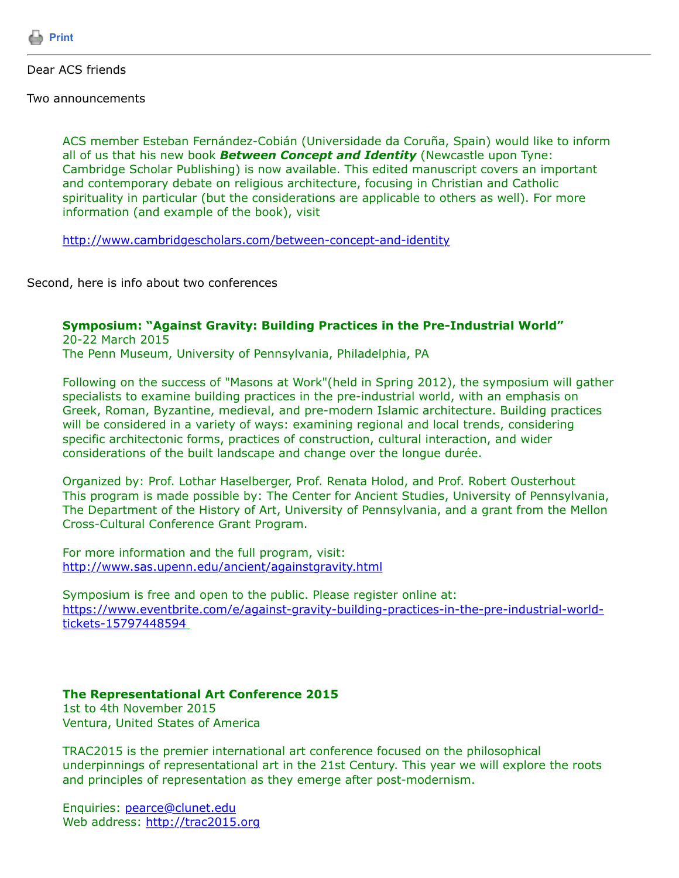

Dear ACS friends

Two announcements

ACS member Esteban Fernández-Cobián (Universidade da Coruña, Spain) would like to inform all of us that his new book *Between Concept and Identity* (Newcastle upon Tyne: Cambridge Scholar Publishing) is now available. This edited manuscript covers an important and contemporary debate on religious architecture, focusing in Christian and Catholic spirituality in particular (but the considerations are applicable to others as well). For more information (and example of the book), visit

<http://www.cambridgescholars.com/between-concept-and-identity>

Second, here is info about two conferences

## **Symposium: "Against Gravity: Building Practices in the Pre-Industrial World"**

20-22 March 2015 The Penn Museum, University of Pennsylvania, Philadelphia, PA

Following on the success of "Masons at Work"(held in Spring 2012), the symposium will gather specialists to examine building practices in the pre-industrial world, with an emphasis on Greek, Roman, Byzantine, medieval, and pre-modern Islamic architecture. Building practices will be considered in a variety of ways: examining regional and local trends, considering specific architectonic forms, practices of construction, cultural interaction, and wider considerations of the built landscape and change over the longue durée.

Organized by: Prof. Lothar Haselberger, Prof. Renata Holod, and Prof. Robert Ousterhout This program is made possible by: The Center for Ancient Studies, University of Pennsylvania, The Department of the History of Art, University of Pennsylvania, and a grant from the Mellon Cross-Cultural Conference Grant Program.

For more information and the full program, visit: <http://www.sas.upenn.edu/ancient/againstgravity.html>

Symposium is free and open to the public. Please register online at: [https://www.eventbrite.com/e/against-gravity-building-practices-in-the-pre-industrial-world](https://www.eventbrite.com/e/against-gravity-building-practices-in-the-pre-industrial-world-tickets-15797448594)tickets-15797448594

## **The Representational Art Conference 2015**

1st to 4th November 2015 Ventura, United States of America

TRAC2015 is the premier international art conference focused on the philosophical underpinnings of representational art in the 21st Century. This year we will explore the roots and principles of representation as they emerge after post-modernism.

Enquiries: [pearce@clunet.edu](https://listserv.tamu.edu/cgi-bin/pearce@clunet.edu) Web address: [http://trac2015.org](http://trac2015.org/)